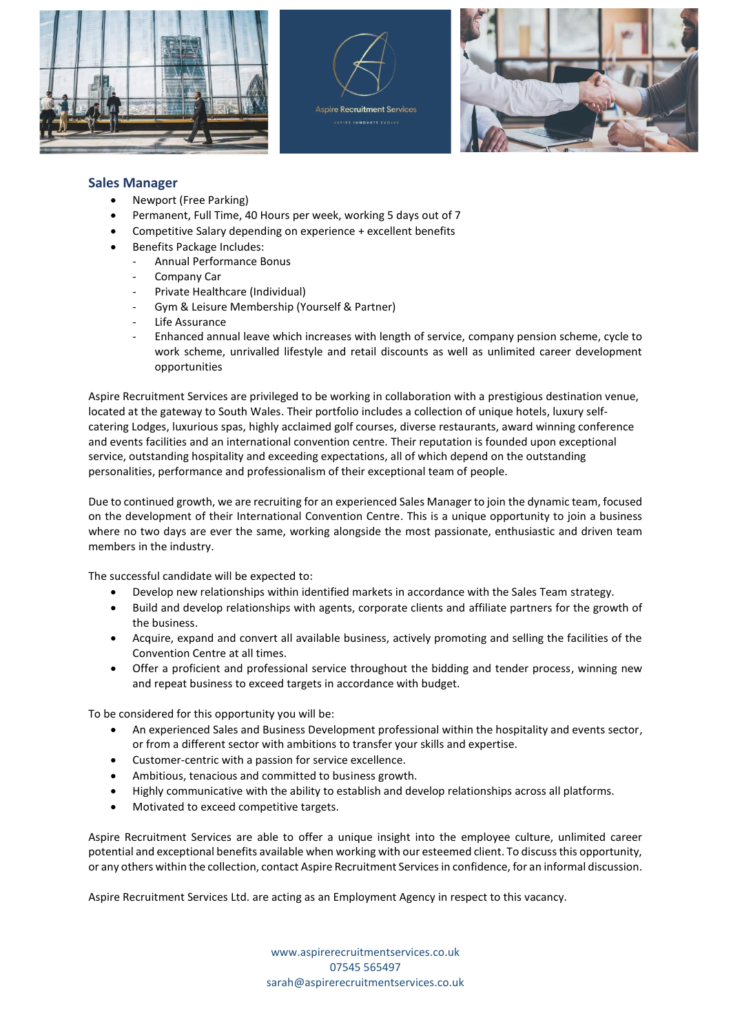





## **Sales Manager**

- Newport (Free Parking)
- Permanent, Full Time, 40 Hours per week, working 5 days out of 7
- Competitive Salary depending on experience + excellent benefits
- Benefits Package Includes:
	- Annual Performance Bonus
	- Company Car
	- Private Healthcare (Individual)
	- Gym & Leisure Membership (Yourself & Partner)
	- Life Assurance
	- Enhanced annual leave which increases with length of service, company pension scheme, cycle to work scheme, unrivalled lifestyle and retail discounts as well as unlimited career development opportunities

Aspire Recruitment Services are privileged to be working in collaboration with a prestigious destination venue, located at the gateway to South Wales. Their portfolio includes a collection of unique hotels, luxury selfcatering Lodges, luxurious spas, highly acclaimed golf courses, diverse restaurants, award winning conference and events facilities and an international convention centre. Their reputation is founded upon exceptional service, outstanding hospitality and exceeding expectations, all of which depend on the outstanding personalities, performance and professionalism of their exceptional team of people.

Due to continued growth, we are recruiting for an experienced Sales Manager to join the dynamic team, focused on the development of their International Convention Centre. This is a unique opportunity to join a business where no two days are ever the same, working alongside the most passionate, enthusiastic and driven team members in the industry.

The successful candidate will be expected to:

- Develop new relationships within identified markets in accordance with the Sales Team strategy.
- Build and develop relationships with agents, corporate clients and affiliate partners for the growth of the business.
- Acquire, expand and convert all available business, actively promoting and selling the facilities of the Convention Centre at all times.
- Offer a proficient and professional service throughout the bidding and tender process, winning new and repeat business to exceed targets in accordance with budget.

To be considered for this opportunity you will be:

- An experienced Sales and Business Development professional within the hospitality and events sector, or from a different sector with ambitions to transfer your skills and expertise.
- Customer-centric with a passion for service excellence.
- Ambitious, tenacious and committed to business growth.
- Highly communicative with the ability to establish and develop relationships across all platforms.
- Motivated to exceed competitive targets.

Aspire Recruitment Services are able to offer a unique insight into the employee culture, unlimited career potential and exceptional benefits available when working with our esteemed client. To discuss this opportunity, or any others within the collection, contact Aspire Recruitment Services in confidence, for an informal discussion.

Aspire Recruitment Services Ltd. are acting as an Employment Agency in respect to this vacancy.

www.aspirerecruitmentservices.co.uk 07545 565497 [sarah@aspirerecruitmentservices.co.uk](mailto:sarah@aspirerecruitmentservices.co.uk)